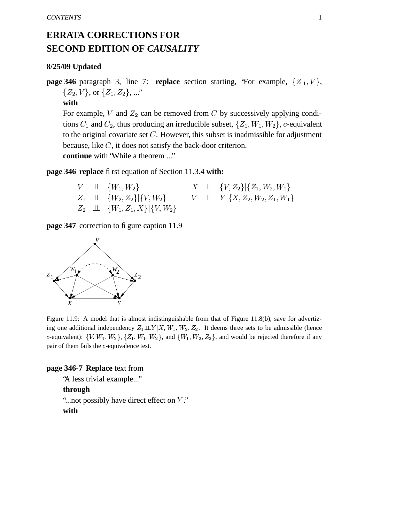## **ERRATA CORRECTIONS FOR SECOND EDITION OF** *CAUSALITY*

## **8/25/09 Updated**

**page** 346 paragraph 3, line 7: **replace** section starting, 'For example,  $\{Z_1, V\}$ ,  $\{Z_2, V\}, \text{or } \{Z_1, Z_2\}, ...$ "

**with**

For example, V and  $Z_2$  can be removed from C by successively applying conditions  $C_1$  and  $C_2$ , thus producing an irreducible subset,  $\{Z_1, W_1, W_2\}$ , c-equivalent to the original covariate set  $C$ . However, this subset is inadmissible for adjustment because, like  $C$ , it does not satisfy the back-door criterion. **continue** with "While a theorem ..."

**page 346 replace** first equation of Section 11.3.4 **with:**

|  | $V \perp\perp \{W_1, W_2\}$                         |  | $X \perp\!\!\!\perp \{V, Z_2\}   \{Z_1, W_2, W_1\}$ |
|--|-----------------------------------------------------|--|-----------------------------------------------------|
|  | $Z_1 \perp\!\!\!\perp \{W_2, Z_2\}  \{V, W_2\} $    |  | $V \perp\!\!\!\perp Y \{X,Z_2,W_2,Z_1,W_1\} $       |
|  | $Z_2 \perp\!\!\!\perp \{W_1, Z_1, X\}  \{V, W_2\} $ |  |                                                     |

**page 347** correction to fi gure caption 11.9



Figure 11.9: A model that is almost indistinguishable from that of Figure 11.8(b), save for advertizing one additional independency  $Z_1 \perp Y | X, W_1, W_2, Z_2$ . It deems three sets to be admissible (hence c-equivalent):  $\{V, W_1, W_2\}, \{Z_1, W_1, W_2\},$  and  $\{W_1, W_2, Z_2\}$ , and would be rejected therefore if any pair of them fails the  $c$ -equivalence test.

## **page 346-7 Replace** text from

"A less trivial example..."

**through**

"...not possibly have direct effect on  $Y$ ."

**with**